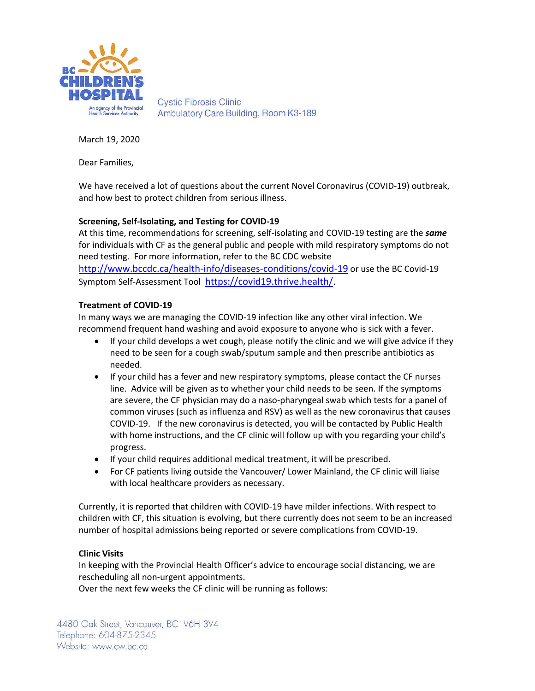

**Cystic Fibrosis Clinic** Ambulatory Care Building, Room K3-189

March 19, 2020

Dear Families,

We have received a lot of questions about the current Novel Coronavirus (COVID-19) outbreak, and how best to protect children from serious illness.

# **Screening, Self-Isolating, and Testing for COVID-19**

At this time, recommendations for screening, self-isolating and COVID-19 testing are the *same* for individuals with CF as the general public and people with mild respiratory symptoms do not need testing. For more information, refer to the BC CDC website

<http://www.bccdc.ca/health-info/diseases-conditions/covid-19> or use the BC Covid-19 Symptom Self-Assessment Tool [https://covid19.thrive.health/.](https://covid19.thrive.health/)

## **Treatment of COVID-19**

In many ways we are managing the COVID-19 infection like any other viral infection. We recommend frequent hand washing and avoid exposure to anyone who is sick with a fever.

- If your child develops a wet cough, please notify the clinic and we will give advice if they need to be seen for a cough swab/sputum sample and then prescribe antibiotics as needed.
- If your child has a fever and new respiratory symptoms, please contact the CF nurses line. Advice will be given as to whether your child needs to be seen. If the symptoms are severe, the CF physician may do a naso-pharyngeal swab which tests for a panel of common viruses (such as influenza and RSV) as well as the new coronavirus that causes COVID-19. If the new coronavirus is detected, you will be contacted by Public Health with home instructions, and the CF clinic will follow up with you regarding your child's progress.
- If your child requires additional medical treatment, it will be prescribed.
- For CF patients living outside the Vancouver/ Lower Mainland, the CF clinic will liaise with local healthcare providers as necessary.

Currently, it is reported that children with COVID-19 have milder infections. With respect to children with CF, this situation is evolving, but there currently does not seem to be an increased number of hospital admissions being reported or severe complications from COVID-19.

## **Clinic Visits**

In keeping with the Provincial Health Officer's advice to encourage social distancing, we are rescheduling all non-urgent appointments.

Over the next few weeks the CF clinic will be running as follows: